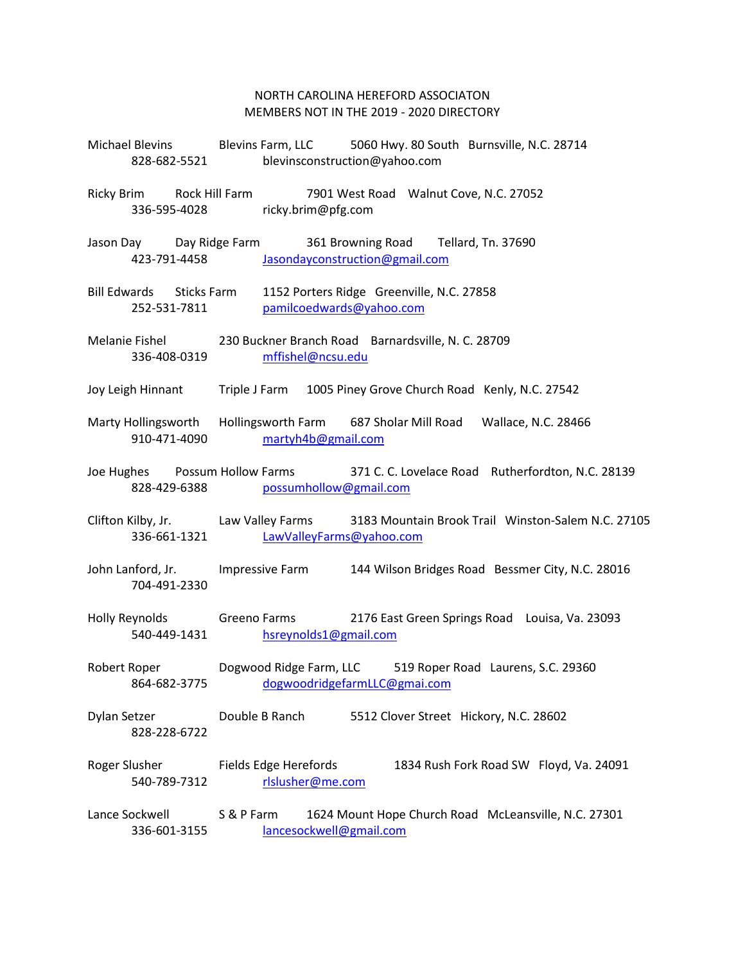## NORTH CAROLINA HEREFORD ASSOCIATON MEMBERS NOT IN THE 2019 - 2020 DIRECTORY

| 828-682-5521                                |                                             | Michael Blevins Blevins Farm, LLC 5060 Hwy. 80 South Burnsville, N.C. 28714<br>blevinsconstruction@yahoo.com |
|---------------------------------------------|---------------------------------------------|--------------------------------------------------------------------------------------------------------------|
| Ricky Brim Rock Hill Farm                   | 336-595-4028 ricky.brim@pfg.com             | 7901 West Road Walnut Cove, N.C. 27052                                                                       |
| Jason Day Day Ridge Farm                    | 423-791-4458 Jasondayconstruction@gmail.com | 361 Browning Road Tellard, Tn. 37690                                                                         |
| Bill Edwards Sticks Farm<br>252-531-7811    | pamilcoedwards@yahoo.com                    | 1152 Porters Ridge Greenville, N.C. 27858                                                                    |
| 336-408-0319                                | mffishel@ncsu.edu                           | Melanie Fishel 230 Buckner Branch Road Barnardsville, N. C. 28709                                            |
|                                             |                                             | Joy Leigh Hinnant Triple J Farm 1005 Piney Grove Church Road Kenly, N.C. 27542                               |
| 910-471-4090                                | martyh4b@gmail.com                          | Marty Hollingsworth Hollingsworth Farm 687 Sholar Mill Road Wallace, N.C. 28466                              |
|                                             | 828-429-6388 possumhollow@gmail.com         | Joe Hughes Possum Hollow Farms 371 C. C. Lovelace Road Rutherfordton, N.C. 28139                             |
| 336-661-1321                                | LawValleyFarms@yahoo.com                    | Clifton Kilby, Jr. Law Valley Farms 3183 Mountain Brook Trail Winston-Salem N.C. 27105                       |
| 704-491-2330                                |                                             | John Lanford, Jr. Impressive Farm 144 Wilson Bridges Road Bessmer City, N.C. 28016                           |
| Holly Reynolds Greeno Farms<br>540-449-1431 | hsreynolds1@gmail.com                       | 2176 East Green Springs Road Louisa, Va. 23093                                                               |
| Robert Roper<br>864-682-3775                | Dogwood Ridge Farm, LLC                     | 519 Roper Road Laurens, S.C. 29360<br>dogwoodridgefarmLLC@gmai.com                                           |
| Dylan Setzer<br>828-228-6722                | Double B Ranch                              | 5512 Clover Street Hickory, N.C. 28602                                                                       |
| Roger Slusher<br>540-789-7312               | Fields Edge Herefords<br>rlslusher@me.com   | 1834 Rush Fork Road SW Floyd, Va. 24091                                                                      |
| Lance Sockwell<br>336-601-3155              | S & P Farm<br>lancesockwell@gmail.com       | 1624 Mount Hope Church Road McLeansville, N.C. 27301                                                         |